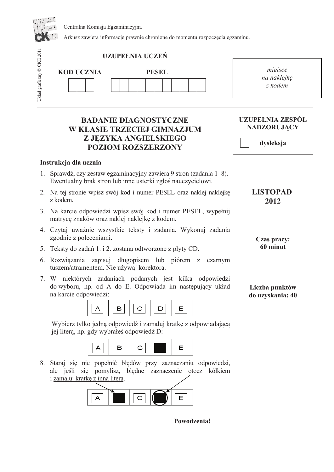Centralna Komisja Egzaminacyjna



Arkusz zawiera informacje prawnie chronione do momentu rozpoczęcia egzaminu.

|                            | <b>UZUPEŁNIA UCZEŃ</b>                                                                                                                                              |                                                            |  |  |  |  |
|----------------------------|---------------------------------------------------------------------------------------------------------------------------------------------------------------------|------------------------------------------------------------|--|--|--|--|
| Układ graficzny © CKE 2011 | <b>KOD UCZNIA</b><br><b>PESEL</b>                                                                                                                                   | miejsce<br>na naklejkę<br>z kodem                          |  |  |  |  |
|                            | <b>BADANIE DIAGNOSTYCZNE</b><br>W KLASIE TRZECIEJ GIMNAZJUM<br>Z JEZYKA ANGIELSKIEGO<br><b>POZIOM ROZSZERZONY</b>                                                   | <b>UZUPEŁNIA ZESPÓŁ</b><br><b>NADZORUJĄCY</b><br>dysleksja |  |  |  |  |
|                            | Instrukcja dla ucznia                                                                                                                                               |                                                            |  |  |  |  |
| 1.                         | Sprawdź, czy zestaw egzaminacyjny zawiera 9 stron (zadania 1–8).<br>Ewentualny brak stron lub inne usterki zgłoś nauczycielowi.                                     |                                                            |  |  |  |  |
| 2.                         | Na tej stronie wpisz swój kod i numer PESEL oraz naklej naklejkę<br>z kodem.                                                                                        | <b>LISTOPAD</b><br>2012                                    |  |  |  |  |
|                            | 3. Na karcie odpowiedzi wpisz swój kod i numer PESEL, wypełnij<br>matrycę znaków oraz naklej naklejkę z kodem.                                                      |                                                            |  |  |  |  |
|                            | 4. Czytaj uważnie wszystkie teksty i zadania. Wykonuj zadania<br>zgodnie z poleceniami.                                                                             | Czas pracy:                                                |  |  |  |  |
| 5.                         | Teksty do zadań 1. i 2. zostaną odtworzone z płyty CD.                                                                                                              | 60 minut                                                   |  |  |  |  |
| 6.                         | Rozwiązania zapisuj długopisem lub piórem z<br>czarnym<br>tuszem/atramentem. Nie używaj korektora.                                                                  |                                                            |  |  |  |  |
| 7.                         | W niektórych zadaniach podanych jest kilka odpowiedzi<br>do wyboru, np. od A do E. Odpowiada im następujący układ<br>na karcie odpowiedzi:<br>Е<br>в<br>С<br>D<br>A | Liczba punktów<br>do uzyskania: 40                         |  |  |  |  |
|                            | Wybierz tylko jedną odpowiedź i zamaluj kratkę z odpowiadającą<br>jej literą, np. gdy wybrałeś odpowiedź D:                                                         |                                                            |  |  |  |  |
|                            | Е<br>в<br>С<br>A                                                                                                                                                    |                                                            |  |  |  |  |
| 8.                         | Staraj się nie popełnić błędów przy zaznaczaniu odpowiedzi,<br>ale jeśli się pomylisz, błędne zaznaczenie otocz kółkiem<br>i zamaluj kratkę z inną literą.<br>A     |                                                            |  |  |  |  |
|                            | Powodzenia!                                                                                                                                                         |                                                            |  |  |  |  |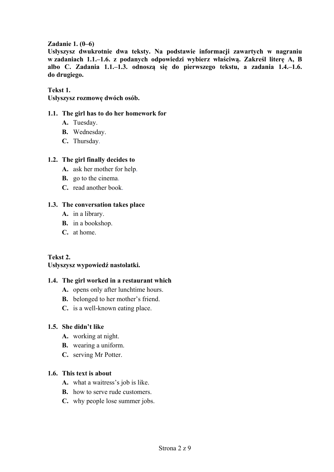## **Zadanie 1. (0–6)**

**Usłyszysz dwukrotnie dwa teksty. Na podstawie informacji zawartych w nagraniu w zadaniach 1.1.–1.6. z podanych odpowiedzi wybierz właściwą. Zakreśl literę A, B albo C. Zadania 1.1.–1.3. odnoszą się do pierwszego tekstu, a zadania 1.4.–1.6. do drugiego.**

**Tekst 1.** 

**Usłyszysz rozmowę dwóch osób.** 

## **1.1. The girl has to do her homework for**

- A. Tuesday.
- **В.** Wednesday.
- **С.** Thursday.

## **1.2. The girl finally decides to**

- **А.** ask her mother for help.
- **В.** go to the cinema.
- **С.** read another book.

## **1.3. The conversation takes place**

- **А.** in a library.
- **В.** in a bookshop.
- **С.** at home.

## **Tekst 2.**

## **Usłyszysz wypowiedź nastolatki.**

### **1.4. The girl worked in a restaurant which**

- **А.** opens only after lunchtime hours.
- **В.** belonged to her mother's friend.
- **С.** is a well-known eating place.

### **1.5. She didn't like**

- **А.** working at night.
- **В.** wearing a uniform.
- **С.** serving Mr Potter.

## **1.6. This text is about**

- **А.** what a waitress's job is like.
- **B.** how to serve rude customers.
- **С.** why people lose summer jobs.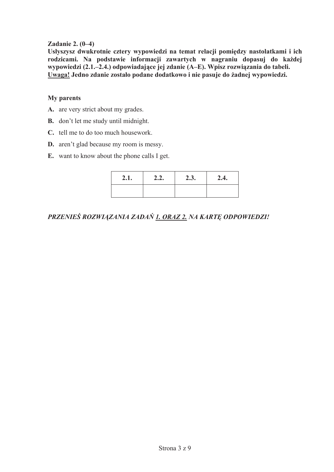## Zadanie 2.  $(0-4)$

Usłyszysz dwukrotnie cztery wypowiedzi na temat relacji pomiędzy nastolatkami i ich rodzicami. Na podstawie informacji zawartych w nagraniu dopasuj do każdej wypowiedzi (2.1.–2.4.) odpowiadające jej zdanie (A–E). Wpisz rozwiązania do tabeli. Uwaga! Jedno zdanie zostało podane dodatkowo i nie pasuje do żadnej wypowiedzi.

## **My** parents

- A. are very strict about my grades.
- **B.** don't let me study until midnight.
- C. tell me to do too much housework.
- **D.** aren't glad because my room is messy.
- **E.** want to know about the phone calls I get.

| 2.1. | 2.2. | 2.3. | 2.4. |  |  |  |
|------|------|------|------|--|--|--|
|      |      |      |      |  |  |  |

PRZENIEŚ ROZWIĄZANIA ZADAŃ 1. ORAZ 2. NA KARTĘ ODPOWIEDZI!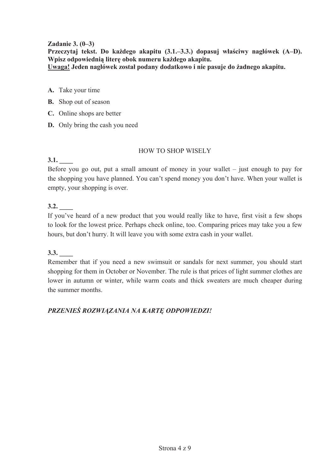## **Zadanie 3. (0–3)**

**Przeczytaj tekst. Do kaĪdego akapitu (3.1.–3.3.) dopasuj wáaĞciwy nagáówek (A–D). Wpisz odpowiednia** litere obok numeru każdego akapitu. **Uwaga! Jeden nagáówek zostaá podany dodatkowo i nie pasuje do Īadnego akapitu.** 

- **A.** Take your time
- **B.** Shop out of season
- **C.** Online shops are better
- **D.** Only bring the cash you need

## HOW TO SHOP WISELY

## **3.1. \_\_\_\_**

Before you go out, put a small amount of money in your wallet – just enough to pay for the shopping you have planned. You can't spend money you don't have. When your wallet is empty, your shopping is over.

## **3.2. \_\_\_\_**

If you've heard of a new product that you would really like to have, first visit a few shops to look for the lowest price. Perhaps check online, too. Comparing prices may take you a few hours, but don't hurry. It will leave you with some extra cash in your wallet.

## **3.3. \_\_\_\_**

Remember that if you need a new swimsuit or sandals for next summer, you should start shopping for them in October or November. The rule is that prices of light summer clothes are lower in autumn or winter, while warm coats and thick sweaters are much cheaper during the summer months.

## *PRZENIEĝ ROZWIĄZANIA NA KARTĉ ODPOWIEDZI!*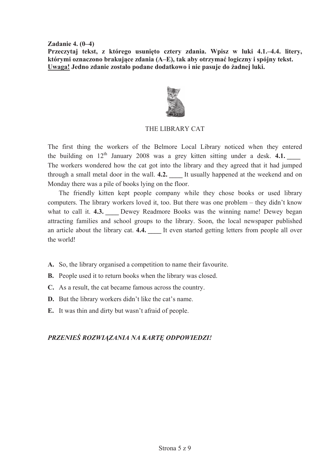**Zadanie 4. (0–4)** 

Przeczytaj tekst, z którego usunięto cztery zdania. Wpisz w luki 4.1.–4.4. litery, **którymi oznaczono brakujące zdania (A–E), tak aby otrzymaü logiczny i spójny tekst. Uwaga! Jedno zdanie zostaáo podane dodatkowo i nie pasuje do Īadnej luki.** 



## THE LIBRARY CAT

The first thing the workers of the Belmore Local Library noticed when they entered the building on  $12<sup>th</sup>$  January 2008 was a grey kitten sitting under a desk. **4.1.** The workers wondered how the cat got into the library and they agreed that it had jumped through a small metal door in the wall. **4.2. \_\_\_\_** It usually happened at the weekend and on Monday there was a pile of books lying on the floor.

The friendly kitten kept people company while they chose books or used library computers. The library workers loved it, too. But there was one problem – they didn't know what to call it. **4.3.** Dewey Readmore Books was the winning name! Dewey began attracting families and school groups to the library. Soon, the local newspaper published an article about the library cat. **4.4.** It even started getting letters from people all over the world!

- **A.** So, the library organised a competition to name their favourite.
- **B.** People used it to return books when the library was closed.
- **C.** As a result, the cat became famous across the country.
- **D.** But the library workers didn't like the cat's name.
- **E.** It was thin and dirty but wasn't afraid of people.

## *PRZENIEĝ ROZWIĄZANIA NA KARTĉ ODPOWIEDZI!*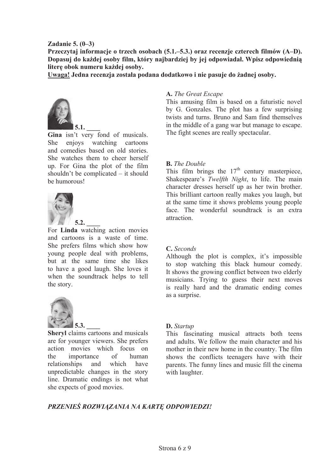### **Zadanie 5. (0–3)**

**Przeczytaj informacje o trzech osobach (5.1.–5.3.) oraz recenzje czterech filmów (A–D). Dopasuj do kaĪdej osoby film, który najbardziej by jej odpowiadaá. Wpisz odpowiednią litere** obok numeru każdej osoby.

Uwaga! Jedna recenzja została podana dodatkowo i nie pasuje do żadnej osoby.



**Gina** isn't very fond of musicals. She enjoys watching cartoons and comedies based on old stories. She watches them to cheer herself up. For Gina the plot of the film shouldn't be complicated – it should be humorous!



For **Linda** watching action movies and cartoons is a waste of time. She prefers films which show how young people deal with problems, but at the same time she likes to have a good laugh. She loves it when the soundtrack helps to tell the story.



**Sheryl** claims cartoons and musicals are for younger viewers. She prefers action movies which focus on the importance of human relationships and which have unpredictable changes in the story line. Dramatic endings is not what she expects of good movies.

#### **A.** *The Great Escape*

This amusing film is based on a futuristic novel by G. Gonzales. The plot has a few surprising twists and turns. Bruno and Sam find themselves in the middle of a gang war but manage to escape. The fight scenes are really spectacular.

#### **B.** *The Double*

This film brings the  $17<sup>th</sup>$  century masterpiece, Shakespeare's *Twelfth Night*, to life. The main character dresses herself up as her twin brother. This brilliant cartoon really makes you laugh, but at the same time it shows problems young people face. The wonderful soundtrack is an extra attraction.

### **C.** *Seconds*

Although the plot is complex, it's impossible to stop watching this black humour comedy. It shows the growing conflict between two elderly musicians. Trying to guess their next moves is really hard and the dramatic ending comes as a surprise.

#### **D.** *Startup*

This fascinating musical attracts both teens and adults. We follow the main character and his mother in their new home in the country. The film shows the conflicts teenagers have with their parents. The funny lines and music fill the cinema with laughter.

### *PRZENIEĝ ROZWIĄZANIA NA KARTĉ ODPOWIEDZI!*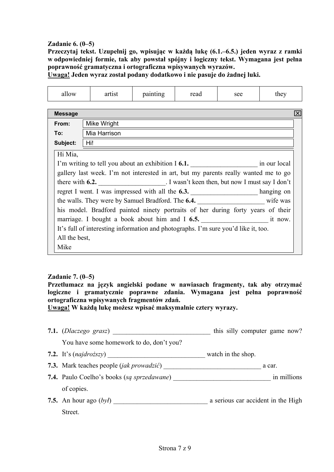## **Zadanie 6. (0–5)**

**Przeczytaj tekst. Uzupełnij go, wpisując w każdą lukę (6.1.–6.5.) jeden wyraz z ramki w odpowiedniej formie, tak aby powstał spójny i logiczny tekst. Wymagana jest pełna poprawność gramatyczna i ortograficzna wpisywanych wyrazów.** 

**Uwaga! Jeden wyraz został podany dodatkowo i nie pasuje do żadnej luki.**

| allow                | artist                                                                                | painting | read | see | they |  |  |  |  |  |  |  |
|----------------------|---------------------------------------------------------------------------------------|----------|------|-----|------|--|--|--|--|--|--|--|
|                      |                                                                                       |          |      |     |      |  |  |  |  |  |  |  |
| <b>Message</b><br>Ι× |                                                                                       |          |      |     |      |  |  |  |  |  |  |  |
| From:                | Mike Wright                                                                           |          |      |     |      |  |  |  |  |  |  |  |
| To:                  | Mia Harrison                                                                          |          |      |     |      |  |  |  |  |  |  |  |
| Subject:             | Hi!                                                                                   |          |      |     |      |  |  |  |  |  |  |  |
| Hi Mia,              |                                                                                       |          |      |     |      |  |  |  |  |  |  |  |
|                      | I'm writing to tell you about an exhibition I 6.1. in our local                       |          |      |     |      |  |  |  |  |  |  |  |
|                      | gallery last week. I'm not interested in art, but my parents really wanted me to go   |          |      |     |      |  |  |  |  |  |  |  |
|                      | there with 6.2. I wasn't keen then, but now I must say I don't                        |          |      |     |      |  |  |  |  |  |  |  |
|                      | regret I went. I was impressed with all the 6.3. _________________________ hanging on |          |      |     |      |  |  |  |  |  |  |  |
|                      | the walls. They were by Samuel Bradford. The 6.4. _____________________ wife was      |          |      |     |      |  |  |  |  |  |  |  |
|                      | his model. Bradford painted ninety portraits of her during forty years of their       |          |      |     |      |  |  |  |  |  |  |  |
|                      | marriage. I bought a book about him and I 6.5. The same state of the now.             |          |      |     |      |  |  |  |  |  |  |  |
|                      | It's full of interesting information and photographs. I'm sure you'd like it, too.    |          |      |     |      |  |  |  |  |  |  |  |
|                      | All the best,                                                                         |          |      |     |      |  |  |  |  |  |  |  |
| Mike                 |                                                                                       |          |      |     |      |  |  |  |  |  |  |  |

### **Zadanie 7. (0–5)**

**Przetłumacz na język angielski podane w nawiasach fragmenty, tak aby otrzymać logiczne i gramatycznie poprawne zdania. Wymagana jest pełna poprawność ortograficzna wpisywanych fragmentów zdań.** 

**Uwaga! W każdą lukę możesz wpisać maksymalnie cztery wyrazy.** 

- **7.1.** (*Dlaczego grasz*) this silly computer game now? You have some homework to do, don't you? **7.2.** It's (*najdroższy*) \_\_\_\_\_\_\_\_\_\_\_\_\_\_\_\_\_\_\_\_\_\_\_\_\_\_\_\_\_ watch in the shop. **7.3.** Mark teaches people (*jak prowadzić*) \_\_\_\_\_\_\_\_\_\_\_\_\_\_\_\_\_\_\_\_\_\_\_\_\_\_\_\_\_ a car.
- **7.4.** Paulo Coelho's books (*są sprzedawane*) \_\_\_\_\_\_\_\_\_\_\_\_\_\_\_\_\_\_\_\_\_\_\_\_\_\_\_\_\_ in millions of copies.
- **7.5.** An hour ago (*był*) \_\_\_\_\_\_\_\_\_\_\_\_\_\_\_\_\_\_\_\_\_\_\_\_\_\_\_\_ a serious car accident in the High **Street**.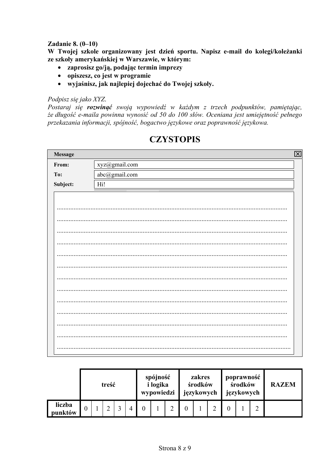## **Zadanie 8.**  $(0-10)$

W Twoiej szkole organizowany jest dzień sportu. Napisz e-mail do kolegi/koleżanki ze szkoły amerykańskiej w Warszawie, w którym:

- zaprosisz go/ją, podając termin imprezy
- opiszesz, co jest w programie
- wyjaśnisz, jak najlepiej dojechać do Twojej szkoły.

## Podpisz się jako XYZ.

Postaraj się rozwinąć swoją wypowiedź w każdym z trzech podpunktów, pamiętając, że długość e-maila powinna wynosić od 50 do 100 słów. Oceniana jest umiejętność pełnego przekazania informacji, spójność, bogactwo językowe oraz poprawność językowa.

| Message<br>$\overline{\mathbf{X}}$ |               |  |  |  |  |  |  |  |  |
|------------------------------------|---------------|--|--|--|--|--|--|--|--|
| From:                              | xyz@gmail.com |  |  |  |  |  |  |  |  |
| To:                                | abc@gmail.com |  |  |  |  |  |  |  |  |
| Subject:                           | Hi!           |  |  |  |  |  |  |  |  |
|                                    |               |  |  |  |  |  |  |  |  |
|                                    |               |  |  |  |  |  |  |  |  |
|                                    |               |  |  |  |  |  |  |  |  |
|                                    |               |  |  |  |  |  |  |  |  |
|                                    |               |  |  |  |  |  |  |  |  |
|                                    |               |  |  |  |  |  |  |  |  |
|                                    |               |  |  |  |  |  |  |  |  |
|                                    |               |  |  |  |  |  |  |  |  |
|                                    |               |  |  |  |  |  |  |  |  |
|                                    |               |  |  |  |  |  |  |  |  |
|                                    |               |  |  |  |  |  |  |  |  |
|                                    |               |  |  |  |  |  |  |  |  |
|                                    |               |  |  |  |  |  |  |  |  |
|                                    |               |  |  |  |  |  |  |  |  |
|                                    |               |  |  |  |  |  |  |  |  |

# **CZYSTOPIS**

|                   | treść |  |  |  |  | spójność<br><i>i</i> logika<br>wypowiedzi |  |        | zakres<br>środków<br>językowych |  |  | poprawność<br>środków<br>językowych |  |  | <b>RAZEM</b> |
|-------------------|-------|--|--|--|--|-------------------------------------------|--|--------|---------------------------------|--|--|-------------------------------------|--|--|--------------|
| liczba<br>punktów |       |  |  |  |  | 0                                         |  | ◠<br>∠ |                                 |  |  |                                     |  |  |              |